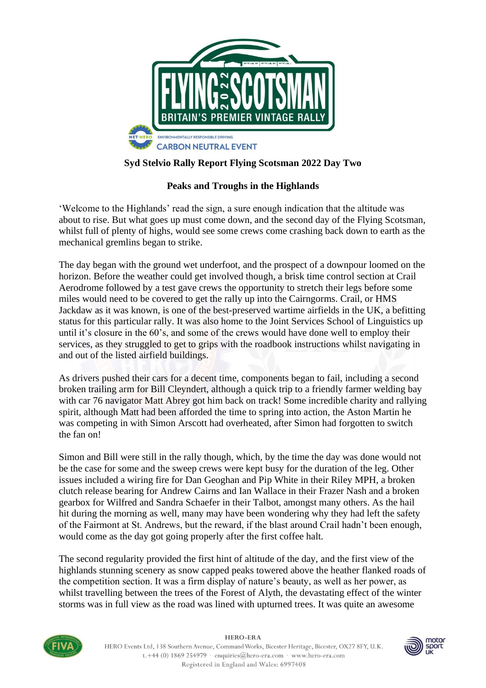

## **Syd Stelvio Rally Report Flying Scotsman 2022 Day Two**

## **Peaks and Troughs in the Highlands**

'Welcome to the Highlands' read the sign, a sure enough indication that the altitude was about to rise. But what goes up must come down, and the second day of the Flying Scotsman, whilst full of plenty of highs, would see some crews come crashing back down to earth as the mechanical gremlins began to strike.

The day began with the ground wet underfoot, and the prospect of a downpour loomed on the horizon. Before the weather could get involved though, a brisk time control section at Crail Aerodrome followed by a test gave crews the opportunity to stretch their legs before some miles would need to be covered to get the rally up into the Cairngorms. Crail, or HMS Jackdaw as it was known, is one of the best-preserved wartime airfields in the UK, a befitting status for this particular rally. It was also home to the Joint Services School of Linguistics up until it's closure in the 60's, and some of the crews would have done well to employ their services, as they struggled to get to grips with the roadbook instructions whilst navigating in and out of the listed airfield buildings.

As drivers pushed their cars for a decent time, components began to fail, including a second broken trailing arm for Bill Cleyndert, although a quick trip to a friendly farmer welding bay with car 76 navigator Matt Abrey got him back on track! Some incredible charity and rallying spirit, although Matt had been afforded the time to spring into action, the Aston Martin he was competing in with Simon Arscott had overheated, after Simon had forgotten to switch the fan on!

Simon and Bill were still in the rally though, which, by the time the day was done would not be the case for some and the sweep crews were kept busy for the duration of the leg. Other issues included a wiring fire for Dan Geoghan and Pip White in their Riley MPH, a broken clutch release bearing for Andrew Cairns and Ian Wallace in their Frazer Nash and a broken gearbox for Wilfred and Sandra Schaefer in their Talbot, amongst many others. As the hail hit during the morning as well, many may have been wondering why they had left the safety of the Fairmont at St. Andrews, but the reward, if the blast around Crail hadn't been enough, would come as the day got going properly after the first coffee halt.

The second regularity provided the first hint of altitude of the day, and the first view of the highlands stunning scenery as snow capped peaks towered above the heather flanked roads of the competition section. It was a firm display of nature's beauty, as well as her power, as whilst travelling between the trees of the Forest of Alyth, the devastating effect of the winter storms was in full view as the road was lined with upturned trees. It was quite an awesome



**HERO-ERA** HERO Events Ltd, 138 Southern Avenue, Command Works, Bicester Heritage, Bicester, OX27 8FY, U.K. t. +44 (0) 1869 254979 · enquiries@hero-era.com · www.hero-era.com Registered in England and Wales: 6997408